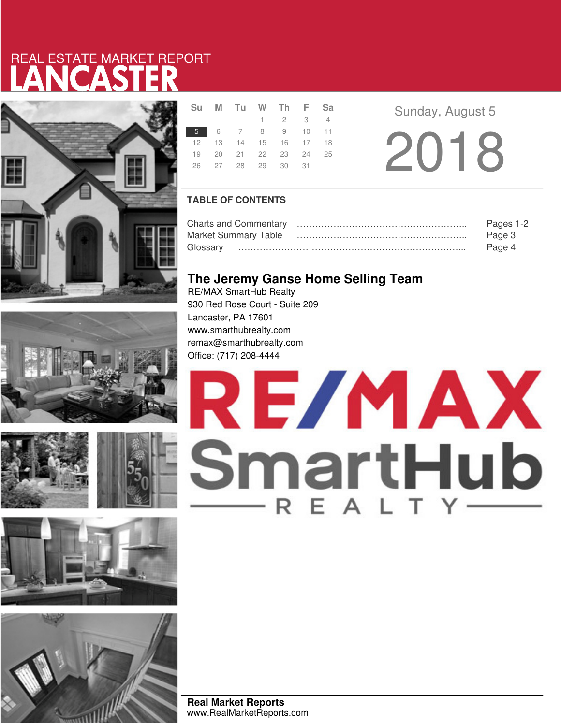# LANCASTER REAL ESTATE MARKET REPORT







|                 | Su M Tu W Th F Sa          |                 |  |  |
|-----------------|----------------------------|-----------------|--|--|
|                 |                            | $1 \t2 \t3 \t4$ |  |  |
| 5 6 7 8 9 10 11 |                            |                 |  |  |
|                 | 12  13  14  15  16  17  18 |                 |  |  |
|                 | 19 20 21 22 23 24 25       |                 |  |  |
|                 | 26 27 28 29 30 31          |                 |  |  |
|                 |                            |                 |  |  |

**Sunday, August 5** 

2018

### **TABLE OF CONTENTS**

|                      | Pages 1-2 |
|----------------------|-----------|
| Market Summary Table | Page 3    |
|                      | Page 4    |

# **The Jeremy Ganse Home Selling Team**

RE/MAX SmartHub Realty 930 Red Rose Court - Suite 209 Lancaster, PA 17601 www.smarthubrealty.com remax@smarthubrealty.com Office: (717) 208-4444



**Real Market Reports** www.RealMarketReports.com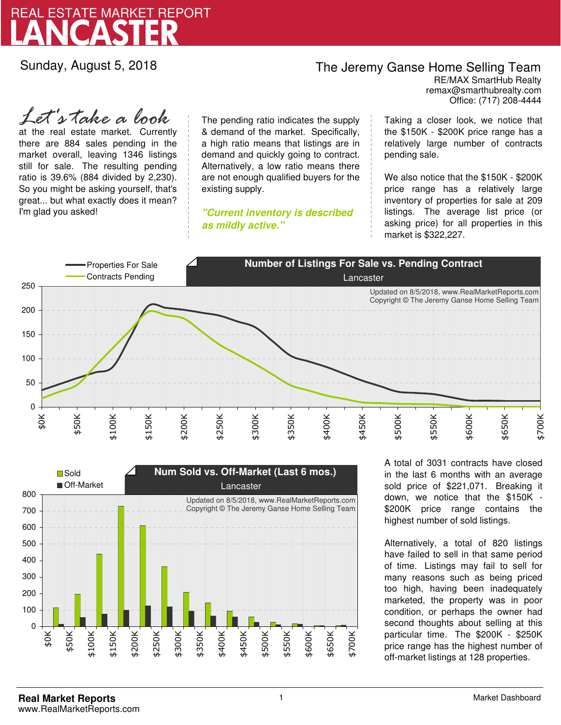

Sunday, August 5, 2018

## The Jeremy Ganse Home Selling Team

remax@smarthubrealty.com RE/MAX SmartHub Realty Office: (717) 208-4444

at the real estate market. Currently there are 884 sales pending in the market overall, leaving 1346 listings still for sale. The resulting pending ratio is 39.6% (884 divided by 2,230). So you might be asking yourself, that's great... but what exactly does it mean? I'm glad you asked! *Let's take a look*

The pending ratio indicates the supply & demand of the market. Specifically, a high ratio means that listings are in demand and quickly going to contract. Alternatively, a low ratio means there are not enough qualified buyers for the existing supply.

**"Current inventory is described as mildly active."**

Taking a closer look, we notice that the \$150K - \$200K price range has a relatively large number of contracts pending sale.

We also notice that the \$150K - \$200K price range has a relatively large inventory of properties for sale at 209 listings. The average list price (or asking price) for all properties in this market is \$322,227.





A total of 3031 contracts have closed in the last 6 months with an average sold price of \$221,071. Breaking it down, we notice that the \$150K - \$200K price range contains the highest number of sold listings.

Alternatively, a total of 820 listings have failed to sell in that same period of time. Listings may fail to sell for many reasons such as being priced too high, having been inadequately marketed, the property was in poor condition, or perhaps the owner had second thoughts about selling at this particular time. The \$200K - \$250K price range has the highest number of off-market listings at 128 properties.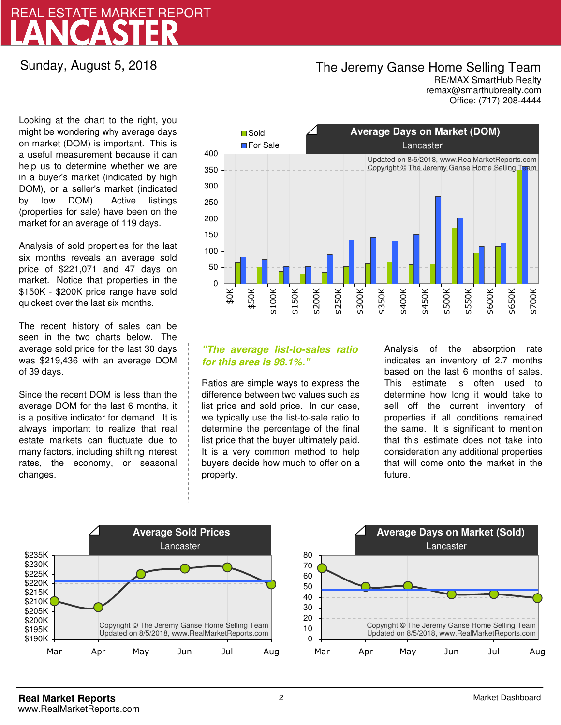# LANCASTER REAL ESTATE MARKET REPORT

## Sunday, August 5, 2018

# The Jeremy Ganse Home Selling Team

remax@smarthubrealty.com RE/MAX SmartHub Realty Office: (717) 208-4444

Looking at the chart to the right, you might be wondering why average days on market (DOM) is important. This is a useful measurement because it can help us to determine whether we are in a buyer's market (indicated by high DOM), or a seller's market (indicated by low DOM). Active listings (properties for sale) have been on the market for an average of 119 days.

Analysis of sold properties for the last six months reveals an average sold price of \$221,071 and 47 days on market. Notice that properties in the \$150K - \$200K price range have sold quickest over the last six months.

The recent history of sales can be seen in the two charts below. The average sold price for the last 30 days was \$219,436 with an average DOM of 39 days.

Since the recent DOM is less than the average DOM for the last 6 months, it is a positive indicator for demand. It is always important to realize that real estate markets can fluctuate due to many factors, including shifting interest rates, the economy, or seasonal changes.



### **"The average list-to-sales ratio for this area is 98.1%."**

Ratios are simple ways to express the difference between two values such as list price and sold price. In our case, we typically use the list-to-sale ratio to determine the percentage of the final list price that the buyer ultimately paid. It is a very common method to help buyers decide how much to offer on a property.

Analysis of the absorption rate indicates an inventory of 2.7 months based on the last 6 months of sales. This estimate is often used to determine how long it would take to sell off the current inventory of properties if all conditions remained the same. It is significant to mention that this estimate does not take into consideration any additional properties that will come onto the market in the future.



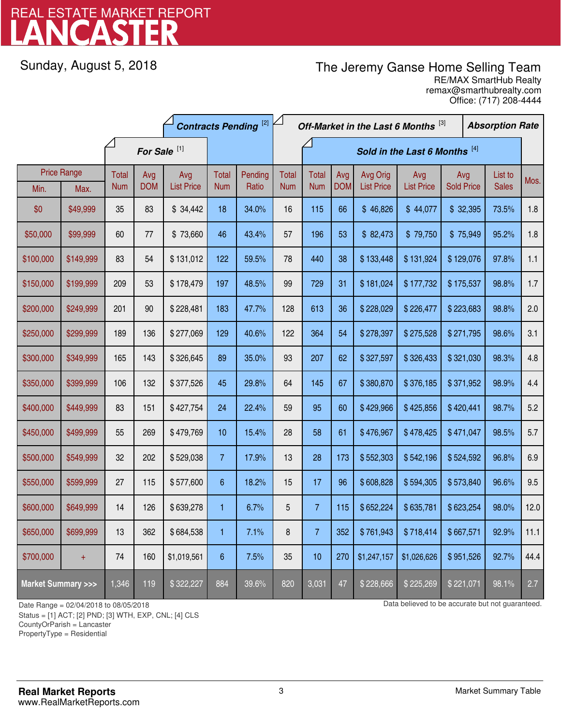# LANCASTER REAL ESTATE MARKET REPORT

Sunday, August 5, 2018

# The Jeremy Ganse Home Selling Team

remax@smarthubrealty.com RE/MAX SmartHub Realty Office: (717) 208-4444

|                                    |           | <b>Contracts Pending [2]</b> |            |                   |                               |         | Off-Market in the Last 6 Months [3] |                |            |                   |                   | <b>Absorption Rate</b> |         |              |      |
|------------------------------------|-----------|------------------------------|------------|-------------------|-------------------------------|---------|-------------------------------------|----------------|------------|-------------------|-------------------|------------------------|---------|--------------|------|
| For Sale <sup>[1]</sup>            |           |                              |            |                   | Sold in the Last 6 Months [4] |         |                                     |                |            |                   |                   |                        |         |              |      |
| <b>Price Range</b>                 |           | Total                        | Avg        | Avg               | Total                         | Pending | <b>Total</b>                        | Total          | Avg        | Avg Orig          | Avg               | Avg                    | List to |              | Mos. |
| Min.                               | Max.      | <b>Num</b>                   | <b>DOM</b> | <b>List Price</b> | <b>Num</b>                    | Ratio   | <b>Num</b>                          | <b>Num</b>     | <b>DOM</b> | <b>List Price</b> | <b>List Price</b> | <b>Sold Price</b>      |         | <b>Sales</b> |      |
| \$0                                | \$49,999  | 35                           | 83         | \$34,442          | 18                            | 34.0%   | 16                                  | 115            | 66         | \$46,826          | \$44,077          | \$32,395               |         | 73.5%        | 1.8  |
| \$50,000                           | \$99,999  | 60                           | 77         | \$73,660          | 46                            | 43.4%   | 57                                  | 196            | 53         | \$82,473          | \$79,750          | \$75,949               |         | 95.2%        | 1.8  |
| \$100,000                          | \$149,999 | 83                           | 54         | \$131,012         | 122                           | 59.5%   | 78                                  | 440            | 38         | \$133,448         | \$131,924         | \$129,076              |         | 97.8%        | 1.1  |
| \$150,000                          | \$199,999 | 209                          | 53         | \$178,479         | 197                           | 48.5%   | 99                                  | 729            | 31         | \$181,024         | \$177,732         | \$175,537              |         | 98.8%        | 1.7  |
| \$200,000                          | \$249,999 | 201                          | $90\,$     | \$228,481         | 183                           | 47.7%   | 128                                 | 613            | 36         | \$228,029         | \$226,477         | \$223,683              |         | 98.8%        | 2.0  |
| \$250,000                          | \$299,999 | 189                          | 136        | \$277,069         | 129                           | 40.6%   | 122                                 | 364            | 54         | \$278,397         | \$275,528         | \$271,795              |         | 98.6%        | 3.1  |
| \$300,000                          | \$349,999 | 165                          | 143        | \$326,645         | 89                            | 35.0%   | 93                                  | 207            | 62         | \$327,597         | \$326,433         | \$321,030              |         | 98.3%        | 4.8  |
| \$350,000                          | \$399,999 | 106                          | 132        | \$377,526         | 45                            | 29.8%   | 64                                  | 145            | 67         | \$380,870         | \$376,185         | \$371,952              |         | 98.9%        | 4.4  |
| \$400,000                          | \$449,999 | 83                           | 151        | \$427,754         | 24                            | 22.4%   | 59                                  | 95             | 60         | \$429,966         | \$425,856         | \$420,441              |         | 98.7%        | 5.2  |
| \$450,000                          | \$499,999 | 55                           | 269        | \$479,769         | 10                            | 15.4%   | 28                                  | 58             | 61         | \$476,967         | \$478,425         | \$471,047              |         | 98.5%        | 5.7  |
| \$500,000                          | \$549,999 | 32                           | 202        | \$529,038         | $\overline{7}$                | 17.9%   | 13                                  | 28             | 173        | \$552,303         | \$542,196         | \$524,592              |         | 96.8%        | 6.9  |
| \$550,000                          | \$599,999 | 27                           | 115        | \$577,600         | 6                             | 18.2%   | 15                                  | 17             | 96         | \$608,828         | \$594,305         | \$573,840              |         | 96.6%        | 9.5  |
| \$600,000                          | \$649,999 | 14                           | 126        | \$639,278         | 1                             | 6.7%    | 5                                   | $\overline{7}$ | 115        | \$652,224         | \$635,781         | \$623,254              |         | 98.0%        | 12.0 |
| \$650,000                          | \$699,999 | 13                           | 362        | \$684,538         | 1                             | 7.1%    | 8                                   | $\overline{7}$ | 352        | \$761,943         | \$718,414         | \$667,571              |         | 92.9%        | 11.1 |
| \$700,000                          | $\ddot{}$ | 74                           | 160        | \$1,019,561       | $\boldsymbol{6}$              | 7.5%    | 35                                  | 10             | 270        | \$1,247,157       | \$1,026,626       | \$951,526              |         | 92.7%        | 44.4 |
| <b>Market Summary &gt;&gt;&gt;</b> |           | 1,346                        | 119        | \$322,227         | 884                           | 39.6%   | 820                                 | 3,031          | 47         | \$228,666         | \$225,269         | \$221,071              |         | 98.1%        | 2.7  |

Status = [1] ACT; [2] PND; [3] WTH, EXP, CNL; [4] CLS

CountyOrParish = Lancaster

PropertyType = Residential

1

Date Range = 02/04/2018 to 08/05/2018 control be accurate but not guaranteed.